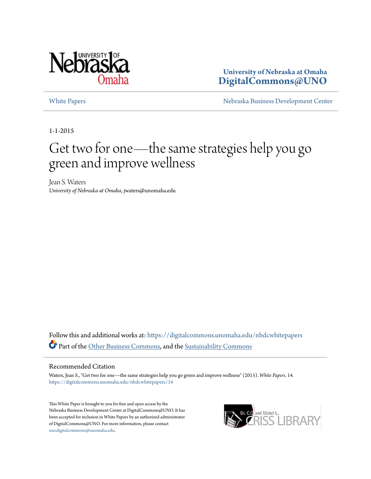

**University of Nebraska at Omaha [DigitalCommons@UNO](https://digitalcommons.unomaha.edu?utm_source=digitalcommons.unomaha.edu%2Fnbdcwhitepapers%2F14&utm_medium=PDF&utm_campaign=PDFCoverPages)**

[White Papers](https://digitalcommons.unomaha.edu/nbdcwhitepapers?utm_source=digitalcommons.unomaha.edu%2Fnbdcwhitepapers%2F14&utm_medium=PDF&utm_campaign=PDFCoverPages) **[Nebraska Business Development Center](https://digitalcommons.unomaha.edu/nbdc?utm_source=digitalcommons.unomaha.edu%2Fnbdcwhitepapers%2F14&utm_medium=PDF&utm_campaign=PDFCoverPages)** 

1-1-2015

# Get two for one—the same strategies help you go green and improve wellness

Jean S. Waters *University of Nebraska at Omaha*, jwaters@unomaha.edu

Follow this and additional works at: [https://digitalcommons.unomaha.edu/nbdcwhitepapers](https://digitalcommons.unomaha.edu/nbdcwhitepapers?utm_source=digitalcommons.unomaha.edu%2Fnbdcwhitepapers%2F14&utm_medium=PDF&utm_campaign=PDFCoverPages) Part of the [Other Business Commons](http://network.bepress.com/hgg/discipline/647?utm_source=digitalcommons.unomaha.edu%2Fnbdcwhitepapers%2F14&utm_medium=PDF&utm_campaign=PDFCoverPages), and the [Sustainability Commons](http://network.bepress.com/hgg/discipline/1031?utm_source=digitalcommons.unomaha.edu%2Fnbdcwhitepapers%2F14&utm_medium=PDF&utm_campaign=PDFCoverPages)

#### Recommended Citation

Waters, Jean S., "Get two for one—the same strategies help you go green and improve wellness" (2015). *White Papers*. 14. [https://digitalcommons.unomaha.edu/nbdcwhitepapers/14](https://digitalcommons.unomaha.edu/nbdcwhitepapers/14?utm_source=digitalcommons.unomaha.edu%2Fnbdcwhitepapers%2F14&utm_medium=PDF&utm_campaign=PDFCoverPages)

This White Paper is brought to you for free and open access by the Nebraska Business Development Center at DigitalCommons@UNO. It has been accepted for inclusion in White Papers by an authorized administrator of DigitalCommons@UNO. For more information, please contact [unodigitalcommons@unomaha.edu](mailto:unodigitalcommons@unomaha.edu).

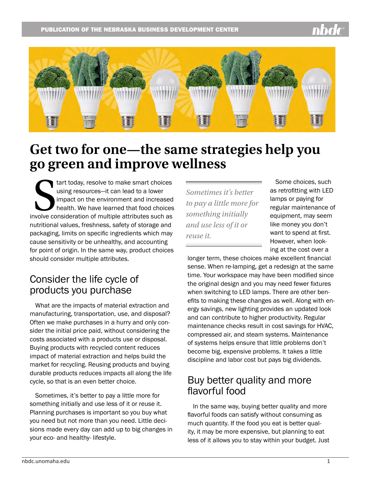

# **Get two for one—the same strategies help you go green and improve wellness**

tart today, resolve to make smart choices<br>using resources—it can lead to a lower<br>impact on the environment and increased<br>health. We have learned that food choices<br>involve consideration of multiple attributes such as tart today, resolve to make smart choices using resources—it can lead to a lower impact on the environment and increased health. We have learned that food choices nutritional values, freshness, safety of storage and packaging, limits on specific ingredients which may cause sensitivity or be unhealthy, and accounting for point of origin. In the same way, product choices should consider multiple attributes.

### Consider the life cycle of products you purchase

What are the impacts of material extraction and manufacturing, transportation, use, and disposal? Often we make purchases in a hurry and only consider the initial price paid, without considering the costs associated with a products use or disposal. Buying products with recycled content reduces impact of material extraction and helps build the market for recycling. Reusing products and buying durable products reduces impacts all along the life cycle, so that is an even better choice.

Sometimes, it's better to pay a little more for something initially and use less of it or reuse it. Planning purchases is important so you buy what you need but not more than you need. Little decisions made every day can add up to big changes in your eco- and healthy- lifestyle.

*Sometimes it's better to pay a little more for something initially and use less of it or reuse it.* 

Some choices, such as retrofitting with LED lamps or paying for regular maintenance of equipment, may seem like money you don't want to spend at first. However, when looking at the cost over a

longer term, these choices make excellent financial sense. When re-lamping, get a redesign at the same time. Your workspace may have been modified since the original design and you may need fewer fixtures when switching to LED lamps. There are other benefits to making these changes as well. Along with energy savings, new lighting provides an updated look and can contribute to higher productivity. Regular maintenance checks result in cost savings for HVAC, compressed air, and steam systems. Maintenance of systems helps ensure that little problems don't become big, expensive problems. It takes a little discipline and labor cost but pays big dividends.

## Buy better quality and more flavorful food

In the same way, buying better quality and more flavorful foods can satisfy without consuming as much quantity. If the food you eat is better quality, it may be more expensive, but planning to eat less of it allows you to stay within your budget. Just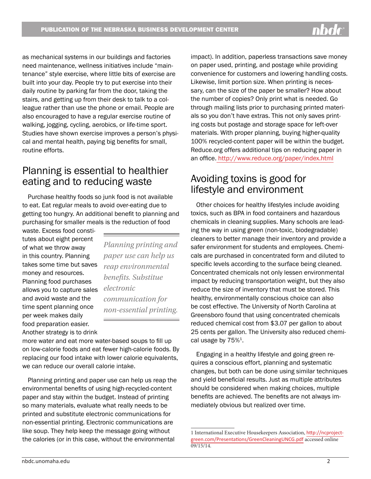as mechanical systems in our buildings and factories need maintenance, wellness initiatives include "maintenance" style exercise, where little bits of exercise are built into your day. People try to put exercise into their daily routine by parking far from the door, taking the stairs, and getting up from their desk to talk to a colleague rather than use the phone or email. People are also encouraged to have a regular exercise routine of walking, jogging, cycling, aerobics, or life-time sport. Studies have shown exercise improves a person's physical and mental health, paying big benefits for small, routine efforts.

## Planning is essential to healthier eating and to reducing waste

Purchase healthy foods so junk food is not available to eat. Eat regular meals to avoid over-eating due to getting too hungry. An additional benefit to planning and purchasing for smaller meals is the reduction of food

waste. Excess food constitutes about eight percent of what we throw away in this country. Planning takes some time but saves money and resources. Planning food purchases allows you to capture sales and avoid waste and the time spent planning once per week makes daily food preparation easier. Another strategy is to drink

*Planning printing and paper use can help us reap environmental benefits. Substitue electronic communication for non-essential printing.*

more water and eat more water-based soups to fill up on low-calorie foods and eat fewer high-calorie foods. By replacing our food intake with lower calorie equivalents, we can reduce our overall calorie intake.

Planning printing and paper use can help us reap the environmental benefits of using high-recycled-content paper and stay within the budget. Instead of printing so many materials, evaluate what really needs to be printed and substitute electronic communications for non-essential printing. Electronic communications are like soup. They help keep the message going without the calories (or in this case, without the environmental

impact). In addition, paperless transactions save money on paper used, printing, and postage while providing convenience for customers and lowering handling costs. Likewise, limit portion size. When printing is necessary, can the size of the paper be smaller? How about the number of copies? Only print what is needed. Go through mailing lists prior to purchasing printed materials so you don't have extras. This not only saves printing costs but postage and storage space for left-over materials. With proper planning, buying higher-quality 100% recycled-content paper will be within the budget. Reduce.org offers additional tips on reducing paper in an office. <http://www.reduce.org/paper/index.html>

### Avoiding toxins is good for lifestyle and environment

Other choices for healthy lifestyles include avoiding toxics, such as BPA in food containers and hazardous chemicals in cleaning supplies. Many schools are leading the way in using green (non-toxic, biodegradable) cleaners to better manage their inventory and provide a safer environment for students and employees. Chemicals are purchased in concentrated form and diluted to specific levels according to the surface being cleaned. Concentrated chemicals not only lessen environmental impact by reducing transportation weight, but they also reduce the size of inventory that must be stored. This healthy, environmentally conscious choice can also be cost effective. The University of North Carolina at Greensboro found that using concentrated chemicals reduced chemical cost from \$3.07 per gallon to about 25 cents per gallon. The University also reduced chemical usage by  $75\%<sup>1</sup>$ .

Engaging in a healthy lifestyle and going green requires a conscious effort, planning and systematic changes, but both can be done using similar techniques and yield beneficial results. Just as multiple attributes should be considered when making choices, multiple benefits are achieved. The benefits are not always immediately obvious but realized over time.

<sup>1</sup> International Executive Housekeepers Association, [http://ncproject](http://ncprojectgreen.com/Presentations/GreenCleaningUNCG.pdf)[green.com/Presentations/GreenCleaningUNCG.pdf](http://ncprojectgreen.com/Presentations/GreenCleaningUNCG.pdf) accessed online  $09/15/14.$